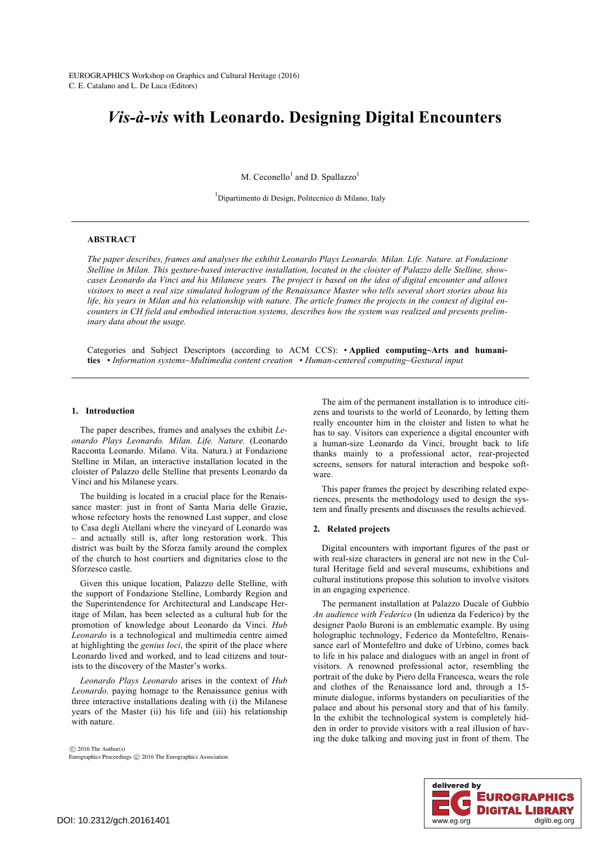# *Vis-à-vis* **with Leonardo. Designing Digital Encounters**

M. Ceconello<sup>1</sup> and D. Spallazzo<sup>1</sup>

1 Dipartimento di Design, Politecnico di Milano, Italy

## **ABSTRACT**

*The paper describes, frames and analyses the exhibit Leonardo Plays Leonardo. Milan. Life. Nature. at Fondazione Stelline in Milan. This gesture-based interactive installation, located in the cloister of Palazzo delle Stelline, showcases Leonardo da Vinci and his Milanese years. The project is based on the idea of digital encounter and allows visitors to meet a real size simulated hologram of the Renaissance Master who tells several short stories about his life, his years in Milan and his relationship with nature. The article frames the projects in the context of digital encounters in CH field and embodied interaction systems, describes how the system was realized and presents preliminary data about the usage.*

Categories and Subject Descriptors (according to ACM CCS): • **Applied computing~Arts and humanities** • *Information systems~Multimedia content creation* • *Human-centered computing~Gestural input*

## **1. Introduction**

The paper describes, frames and analyses the exhibit *Leonardo Plays Leonardo. Milan. Life. Nature.* (Leonardo Racconta Leonardo. Milano. Vita. Natura.) at Fondazione Stelline in Milan, an interactive installation located in the cloister of Palazzo delle Stelline that presents Leonardo da Vinci and his Milanese years.

The building is located in a crucial place for the Renaissance master: just in front of Santa Maria delle Grazie, whose refectory hosts the renowned Last supper, and close to Casa degli Atellani where the vineyard of Leonardo was – and actually still is, after long restoration work. This district was built by the Sforza family around the complex of the church to host courtiers and dignitaries close to the Sforzesco castle.

Given this unique location, Palazzo delle Stelline, with the support of Fondazione Stelline, Lombardy Region and the Superintendence for Architectural and Landscape Heritage of Milan, has been selected as a cultural hub for the promotion of knowledge about Leonardo da Vinci. *Hub Leonardo* is a technological and multimedia centre aimed at highlighting the *genius loci*, the spirit of the place where Leonardo lived and worked, and to lead citizens and tourists to the discovery of the Master's works.

*Leonardo Plays Leonardo* arises in the context of *Hub Leonardo,* paying homage to the Renaissance genius with three interactive installations dealing with (i) the Milanese years of the Master (ii) his life and (iii) his relationship with nature.

 $\odot$  2016 The Author(s) Eurographics Proceedings  $\copyright$  2016 The Eurographics Association.

The aim of the permanent installation is to introduce citizens and tourists to the world of Leonardo, by letting them really encounter him in the cloister and listen to what he has to say. Visitors can experience a digital encounter with a human-size Leonardo da Vinci, brought back to life thanks mainly to a professional actor, rear-projected screens, sensors for natural interaction and bespoke software.

This paper frames the project by describing related experiences, presents the methodology used to design the system and finally presents and discusses the results achieved.

#### **2. Related projects**

Digital encounters with important figures of the past or with real-size characters in general are not new in the Cultural Heritage field and several museums, exhibitions and cultural institutions propose this solution to involve visitors in an engaging experience.

The permanent installation at Palazzo Ducale of Gubbio *An audience with Federico* (In udienza da Federico) by the designer Paolo Buroni is an emblematic example. By using holographic technology, Federico da Montefeltro, Renaissance earl of Montefeltro and duke of Urbino, comes back to life in his palace and dialogues with an angel in front of visitors. A renowned professional actor, resembling the portrait of the duke by Piero della Francesca, wears the role and clothes of the Renaissance lord and, through a 15 minute dialogue, informs bystanders on peculiarities of the palace and about his personal story and that of his family. In the exhibit the technological system is completely hidden in order to provide visitors with a real illusion of having the duke talking and moving just in front of them. The

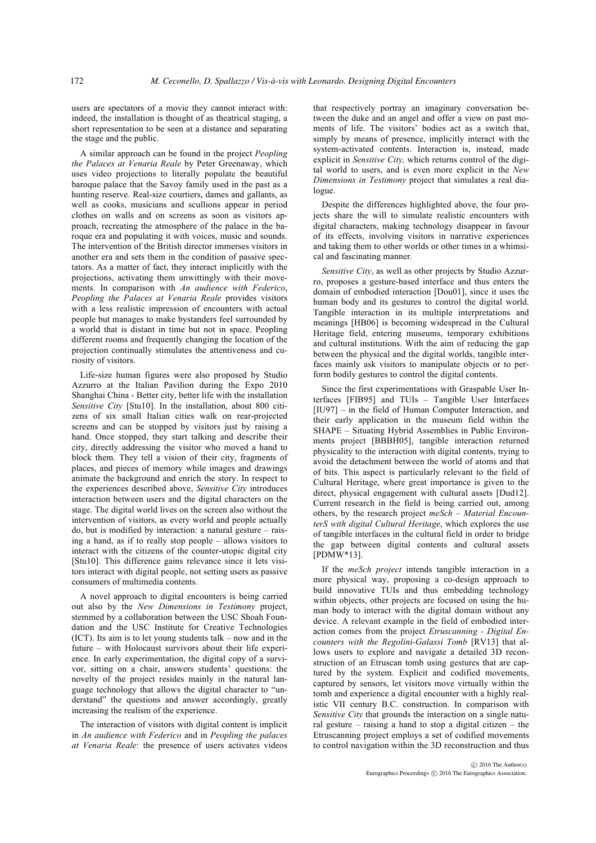users are spectators of a movie they cannot interact with: indeed, the installation is thought of as theatrical staging, a short representation to be seen at a distance and separating the stage and the public.

A similar approach can be found in the project *Peopling the Palaces at Venaria Reale* by Peter Greenaway, which uses video projections to literally populate the beautiful baroque palace that the Savoy family used in the past as a hunting reserve. Real-size courtiers, dames and gallants, as well as cooks, musicians and scullions appear in period clothes on walls and on screens as soon as visitors approach, recreating the atmosphere of the palace in the baroque era and populating it with voices, music and sounds. The intervention of the British director immerses visitors in another era and sets them in the condition of passive spectators. As a matter of fact, they interact implicitly with the projections, activating them unwittingly with their movements. In comparison with *An audience with Federico*, *Peopling the Palaces at Venaria Reale* provides visitors with a less realistic impression of encounters with actual people but manages to make bystanders feel surrounded by a world that is distant in time but not in space. Peopling different rooms and frequently changing the location of the projection continually stimulates the attentiveness and curiosity of visitors.

Life-size human figures were also proposed by Studio Azzurro at the Italian Pavilion during the Expo 2010 Shanghai China - Better city, better life with the installation *Sensitive City* [Stu10]. In the installation, about 800 citizens of six small Italian cities walk on rear-projected screens and can be stopped by visitors just by raising a hand. Once stopped, they start talking and describe their city, directly addressing the visitor who moved a hand to block them. They tell a vision of their city, fragments of places, and pieces of memory while images and drawings animate the background and enrich the story. In respect to the experiences described above, *Sensitive City* introduces interaction between users and the digital characters on the stage. The digital world lives on the screen also without the intervention of visitors, as every world and people actually do, but is modified by interaction: a natural gesture – raising a hand, as if to really stop people – allows visitors to interact with the citizens of the counter-utopic digital city [Stu10]. This difference gains relevance since it lets visitors interact with digital people, not setting users as passive consumers of multimedia contents.

A novel approach to digital encounters is being carried out also by the *New Dimensions in Testimony* project, stemmed by a collaboration between the USC Shoah Foundation and the USC Institute for Creative Technologies (ICT). Its aim is to let young students talk – now and in the future – with Holocaust survivors about their life experience. In early experimentation, the digital copy of a survivor, sitting on a chair, answers students' questions: the novelty of the project resides mainly in the natural language technology that allows the digital character to "understand" the questions and answer accordingly, greatly increasing the realism of the experience.

The interaction of visitors with digital content is implicit in *An audience with Federico* and in *Peopling the palaces at Venaria Reale*: the presence of users activates videos that respectively portray an imaginary conversation between the duke and an angel and offer a view on past moments of life. The visitors' bodies act as a switch that, simply by means of presence, implicitly interact with the system-activated contents. Interaction is, instead, made explicit in *Sensitive City,* which returns control of the digital world to users, and is even more explicit in the *New Dimensions in Testimony* project that simulates a real dialogue.

Despite the differences highlighted above, the four projects share the will to simulate realistic encounters with digital characters, making technology disappear in favour of its effects, involving visitors in narrative experiences and taking them to other worlds or other times in a whimsical and fascinating manner.

*Sensitive City*, as well as other projects by Studio Azzurro, proposes a gesture-based interface and thus enters the domain of embodied interaction [Dou01], since it uses the human body and its gestures to control the digital world. Tangible interaction in its multiple interpretations and meanings [HB06] is becoming widespread in the Cultural Heritage field, entering museums, temporary exhibitions and cultural institutions. With the aim of reducing the gap between the physical and the digital worlds, tangible interfaces mainly ask visitors to manipulate objects or to perform bodily gestures to control the digital contents.

Since the first experimentations with Graspable User Interfaces [FIB95] and TUIs – Tangible User Interfaces [IU97] – in the field of Human Computer Interaction, and their early application in the museum field within the SHAPE – Situating Hybrid Assemblies in Public Environments project [BBBH05], tangible interaction returned physicality to the interaction with digital contents, trying to avoid the detachment between the world of atoms and that of bits. This aspect is particularly relevant to the field of Cultural Heritage, where great importance is given to the direct, physical engagement with cultural assets [Dud12]. Current research in the field is being carried out, among others, by the research project *meSch – Material EncounterS with digital Cultural Heritage*, which explores the use of tangible interfaces in the cultural field in order to bridge the gap between digital contents and cultural assets [PDMW\*13].

If the *meSch project* intends tangible interaction in a more physical way, proposing a co-design approach to build innovative TUIs and thus embedding technology within objects, other projects are focused on using the human body to interact with the digital domain without any device. A relevant example in the field of embodied interaction comes from the project *Etruscanning - Digital Encounters with the Regolini-Galassi Tomb* [RV13] that allows users to explore and navigate a detailed 3D reconstruction of an Etruscan tomb using gestures that are captured by the system. Explicit and codified movements, captured by sensors, let visitors move virtually within the tomb and experience a digital encounter with a highly realistic VII century B.C. construction. In comparison with *Sensitive City* that grounds the interaction on a single natural gesture – raising a hand to stop a digital citizen – the Etruscanning project employs a set of codified movements to control navigation within the 3D reconstruction and thus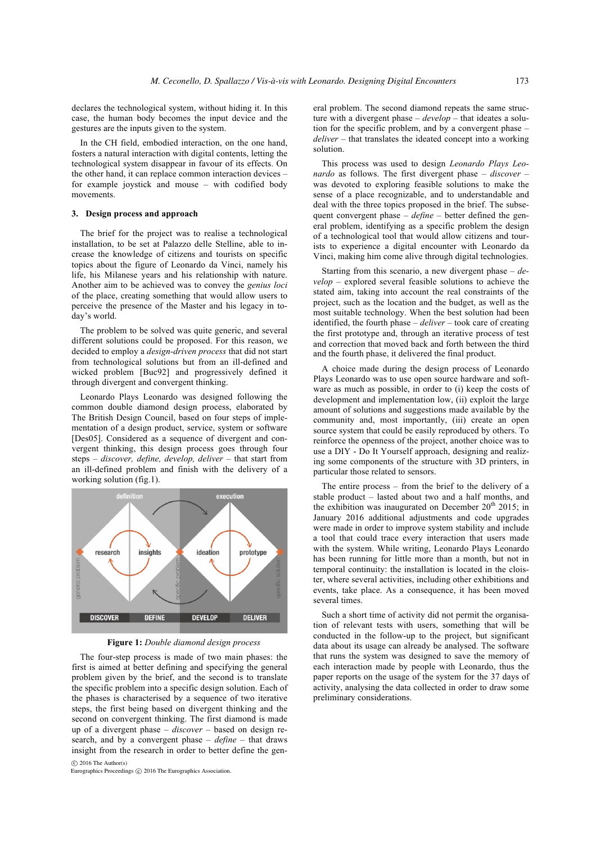declares the technological system, without hiding it. In this case, the human body becomes the input device and the gestures are the inputs given to the system.

In the CH field, embodied interaction, on the one hand, fosters a natural interaction with digital contents, letting the technological system disappear in favour of its effects. On the other hand, it can replace common interaction devices – for example joystick and mouse – with codified body movements.

# **3. Design process and approach**

The brief for the project was to realise a technological installation, to be set at Palazzo delle Stelline, able to increase the knowledge of citizens and tourists on specific topics about the figure of Leonardo da Vinci, namely his life, his Milanese years and his relationship with nature. Another aim to be achieved was to convey the *genius loci* of the place, creating something that would allow users to perceive the presence of the Master and his legacy in today's world.

The problem to be solved was quite generic, and several different solutions could be proposed. For this reason, we decided to employ a *design-driven process* that did not start from technological solutions but from an ill-defined and wicked problem [Buc92] and progressively defined it through divergent and convergent thinking.

Leonardo Plays Leonardo was designed following the common double diamond design process, elaborated by The British Design Council, based on four steps of implementation of a design product, service, system or software [Des05]. Considered as a sequence of divergent and convergent thinking, this design process goes through four steps – *discover, define, develop, deliver* – that start from an ill-defined problem and finish with the delivery of a working solution (fig.1).



**Figure 1:** *Double diamond design process*

The four-step process is made of two main phases: the first is aimed at better defining and specifying the general problem given by the brief, and the second is to translate the specific problem into a specific design solution. Each of the phases is characterised by a sequence of two iterative steps, the first being based on divergent thinking and the second on convergent thinking. The first diamond is made up of a divergent phase – *discover* – based on design research, and by a convergent phase – *define* – that draws insight from the research in order to better define the gen- $\odot$  2016 The Author(s)

Eurographics Proceedings  $\odot$  2016 The Eurographics Association.

eral problem. The second diamond repeats the same structure with a divergent phase – *develop* – that ideates a solution for the specific problem, and by a convergent phase – *deliver* – that translates the ideated concept into a working solution.

This process was used to design *Leonardo Plays Leonardo* as follows. The first divergent phase – *discover* – was devoted to exploring feasible solutions to make the sense of a place recognizable, and to understandable and deal with the three topics proposed in the brief. The subsequent convergent phase – *define* – better defined the general problem, identifying as a specific problem the design of a technological tool that would allow citizens and tourists to experience a digital encounter with Leonardo da Vinci, making him come alive through digital technologies.

Starting from this scenario, a new divergent phase – *develop* – explored several feasible solutions to achieve the stated aim, taking into account the real constraints of the project, such as the location and the budget, as well as the most suitable technology. When the best solution had been identified, the fourth phase – *deliver* – took care of creating the first prototype and, through an iterative process of test and correction that moved back and forth between the third and the fourth phase, it delivered the final product.

A choice made during the design process of Leonardo Plays Leonardo was to use open source hardware and software as much as possible, in order to (i) keep the costs of development and implementation low, (ii) exploit the large amount of solutions and suggestions made available by the community and, most importantly, (iii) create an open source system that could be easily reproduced by others. To reinforce the openness of the project, another choice was to use a DIY - Do It Yourself approach, designing and realizing some components of the structure with 3D printers, in particular those related to sensors.

The entire process – from the brief to the delivery of a stable product – lasted about two and a half months, and the exhibition was inaugurated on December  $20<sup>th</sup>$  2015; in January 2016 additional adjustments and code upgrades were made in order to improve system stability and include a tool that could trace every interaction that users made with the system. While writing, Leonardo Plays Leonardo has been running for little more than a month, but not in temporal continuity: the installation is located in the cloister, where several activities, including other exhibitions and events, take place. As a consequence, it has been moved several times.

Such a short time of activity did not permit the organisation of relevant tests with users, something that will be conducted in the follow-up to the project, but significant data about its usage can already be analysed. The software that runs the system was designed to save the memory of each interaction made by people with Leonardo, thus the paper reports on the usage of the system for the 37 days of activity, analysing the data collected in order to draw some preliminary considerations.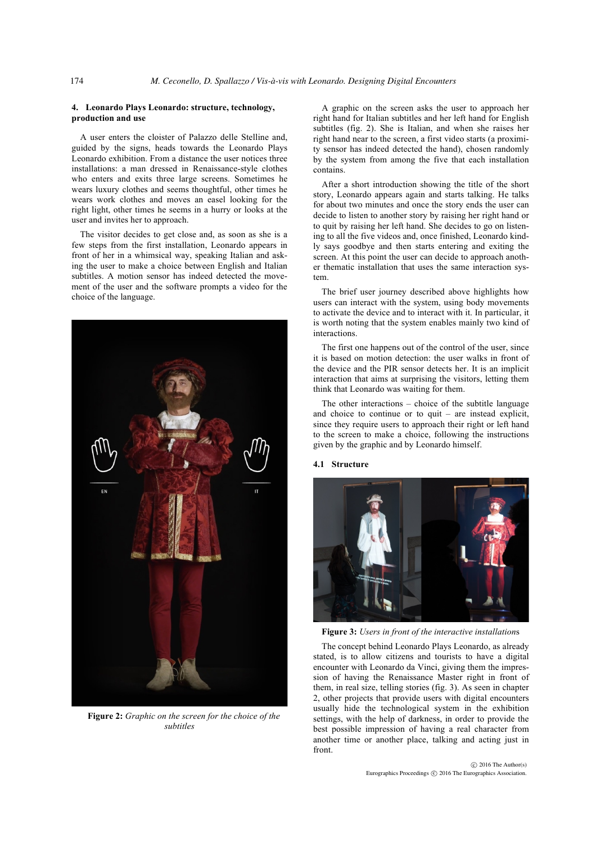## **4. Leonardo Plays Leonardo: structure, technology, production and use**

A user enters the cloister of Palazzo delle Stelline and, guided by the signs, heads towards the Leonardo Plays Leonardo exhibition. From a distance the user notices three installations: a man dressed in Renaissance-style clothes who enters and exits three large screens. Sometimes he wears luxury clothes and seems thoughtful, other times he wears work clothes and moves an easel looking for the right light, other times he seems in a hurry or looks at the user and invites her to approach.

The visitor decides to get close and, as soon as she is a few steps from the first installation, Leonardo appears in front of her in a whimsical way, speaking Italian and asking the user to make a choice between English and Italian subtitles. A motion sensor has indeed detected the movement of the user and the software prompts a video for the choice of the language.



**Figure 2:** *Graphic on the screen for the choice of the subtitles*

A graphic on the screen asks the user to approach her right hand for Italian subtitles and her left hand for English subtitles (fig. 2). She is Italian, and when she raises her right hand near to the screen, a first video starts (a proximity sensor has indeed detected the hand), chosen randomly by the system from among the five that each installation contains.

After a short introduction showing the title of the short story, Leonardo appears again and starts talking. He talks for about two minutes and once the story ends the user can decide to listen to another story by raising her right hand or to quit by raising her left hand. She decides to go on listening to all the five videos and, once finished, Leonardo kindly says goodbye and then starts entering and exiting the screen. At this point the user can decide to approach another thematic installation that uses the same interaction system.

The brief user journey described above highlights how users can interact with the system, using body movements to activate the device and to interact with it. In particular, it is worth noting that the system enables mainly two kind of interactions.

The first one happens out of the control of the user, since it is based on motion detection: the user walks in front of the device and the PIR sensor detects her. It is an implicit interaction that aims at surprising the visitors, letting them think that Leonardo was waiting for them.

The other interactions – choice of the subtitle language and choice to continue or to quit – are instead explicit, since they require users to approach their right or left hand to the screen to make a choice, following the instructions given by the graphic and by Leonardo himself.

## **4.1 Structure**



**Figure 3:** *Users in front of the interactive installation*s

The concept behind Leonardo Plays Leonardo, as already stated, is to allow citizens and tourists to have a digital encounter with Leonardo da Vinci, giving them the impression of having the Renaissance Master right in front of them, in real size, telling stories (fig. 3). As seen in chapter 2, other projects that provide users with digital encounters usually hide the technological system in the exhibition settings, with the help of darkness, in order to provide the best possible impression of having a real character from another time or another place, talking and acting just in front.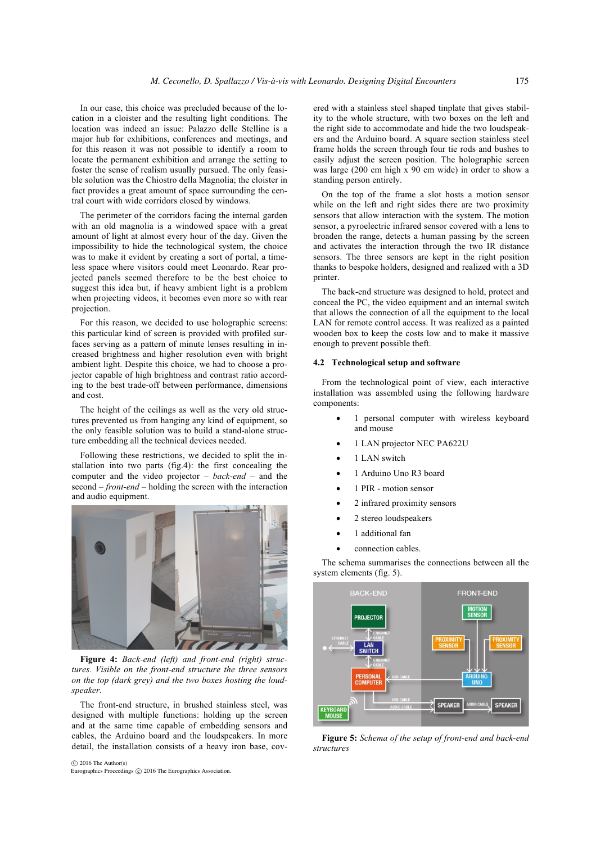In our case, this choice was precluded because of the location in a cloister and the resulting light conditions. The location was indeed an issue: Palazzo delle Stelline is a major hub for exhibitions, conferences and meetings, and for this reason it was not possible to identify a room to locate the permanent exhibition and arrange the setting to foster the sense of realism usually pursued. The only feasible solution was the Chiostro della Magnolia; the cloister in fact provides a great amount of space surrounding the central court with wide corridors closed by windows.

The perimeter of the corridors facing the internal garden with an old magnolia is a windowed space with a great amount of light at almost every hour of the day. Given the impossibility to hide the technological system, the choice was to make it evident by creating a sort of portal, a timeless space where visitors could meet Leonardo. Rear projected panels seemed therefore to be the best choice to suggest this idea but, if heavy ambient light is a problem when projecting videos, it becomes even more so with rear projection.

For this reason, we decided to use holographic screens: this particular kind of screen is provided with profiled surfaces serving as a pattern of minute lenses resulting in increased brightness and higher resolution even with bright ambient light. Despite this choice, we had to choose a projector capable of high brightness and contrast ratio according to the best trade-off between performance, dimensions and cost.

The height of the ceilings as well as the very old structures prevented us from hanging any kind of equipment, so the only feasible solution was to build a stand-alone structure embedding all the technical devices needed.

Following these restrictions, we decided to split the installation into two parts (fig.4): the first concealing the computer and the video projector – *back-end* – and the second – *front-end* – holding the screen with the interaction and audio equipment.



**Figure 4:** *Back-end (left) and front-end (right) structures. Visible on the front-end structure the three sensors on the top (dark grey) and the two boxes hosting the loudspeaker.*

The front-end structure, in brushed stainless steel, was designed with multiple functions: holding up the screen and at the same time capable of embedding sensors and cables, the Arduino board and the loudspeakers. In more detail, the installation consists of a heavy iron base, cov-

 c 2016 The Author(s) Eurographics Proceedings  $\odot$  2016 The Eurographics Association.

ered with a stainless steel shaped tinplate that gives stability to the whole structure, with two boxes on the left and the right side to accommodate and hide the two loudspeakers and the Arduino board. A square section stainless steel frame holds the screen through four tie rods and bushes to easily adjust the screen position. The holographic screen was large (200 cm high x 90 cm wide) in order to show a standing person entirely.

On the top of the frame a slot hosts a motion sensor while on the left and right sides there are two proximity sensors that allow interaction with the system. The motion sensor, a pyroelectric infrared sensor covered with a lens to broaden the range, detects a human passing by the screen and activates the interaction through the two IR distance sensors. The three sensors are kept in the right position thanks to bespoke holders, designed and realized with a 3D printer.

The back-end structure was designed to hold, protect and conceal the PC, the video equipment and an internal switch that allows the connection of all the equipment to the local LAN for remote control access. It was realized as a painted wooden box to keep the costs low and to make it massive enough to prevent possible theft.

## **4.2 Technological setup and software**

From the technological point of view, each interactive installation was assembled using the following hardware components:

- 1 personal computer with wireless keyboard and mouse
- 1 LAN projector NEC PA622U
- 1 LAN switch
- 1 Arduino Uno R3 board
- 1 PIR motion sensor
- 2 infrared proximity sensors
- 2 stereo loudspeakers
- 1 additional fan
- connection cables.

The schema summarises the connections between all the system elements (fig. 5).



**Figure 5:** *Schema of the setup of front-end and back-end structures*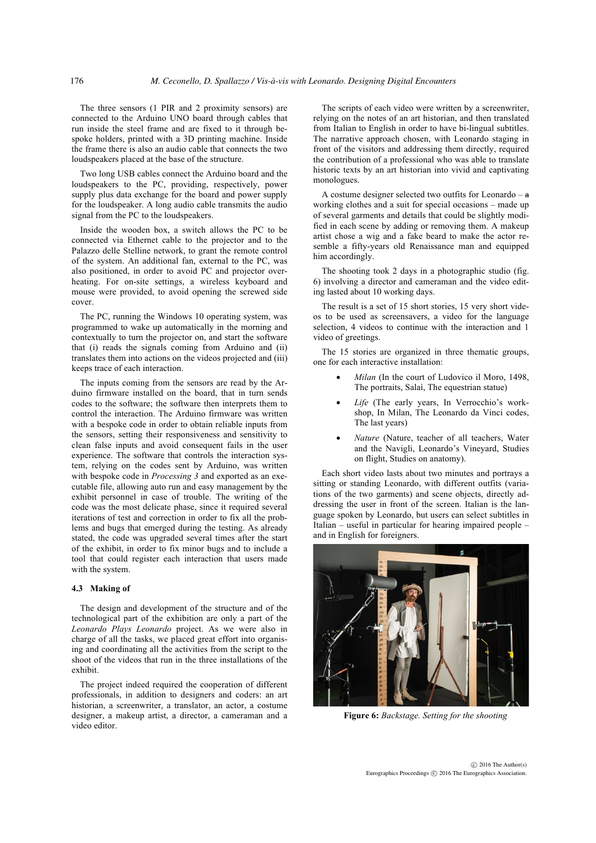The three sensors (1 PIR and 2 proximity sensors) are connected to the Arduino UNO board through cables that run inside the steel frame and are fixed to it through bespoke holders, printed with a 3D printing machine. Inside the frame there is also an audio cable that connects the two loudspeakers placed at the base of the structure.

Two long USB cables connect the Arduino board and the loudspeakers to the PC, providing, respectively, power supply plus data exchange for the board and power supply for the loudspeaker. A long audio cable transmits the audio signal from the PC to the loudspeakers.

Inside the wooden box, a switch allows the PC to be connected via Ethernet cable to the projector and to the Palazzo delle Stelline network, to grant the remote control of the system. An additional fan, external to the PC, was also positioned, in order to avoid PC and projector overheating. For on-site settings, a wireless keyboard and mouse were provided, to avoid opening the screwed side cover.

The PC, running the Windows 10 operating system, was programmed to wake up automatically in the morning and contextually to turn the projector on, and start the software that (i) reads the signals coming from Arduino and (ii) translates them into actions on the videos projected and (iii) keeps trace of each interaction.

The inputs coming from the sensors are read by the Arduino firmware installed on the board, that in turn sends codes to the software; the software then interprets them to control the interaction. The Arduino firmware was written with a bespoke code in order to obtain reliable inputs from the sensors, setting their responsiveness and sensitivity to clean false inputs and avoid consequent fails in the user experience. The software that controls the interaction system, relying on the codes sent by Arduino, was written with bespoke code in *Processing 3* and exported as an executable file, allowing auto run and easy management by the exhibit personnel in case of trouble. The writing of the code was the most delicate phase, since it required several iterations of test and correction in order to fix all the problems and bugs that emerged during the testing. As already stated, the code was upgraded several times after the start of the exhibit, in order to fix minor bugs and to include a tool that could register each interaction that users made with the system.

#### **4.3 Making of**

The design and development of the structure and of the technological part of the exhibition are only a part of the *Leonardo Plays Leonardo* project. As we were also in charge of all the tasks, we placed great effort into organising and coordinating all the activities from the script to the shoot of the videos that run in the three installations of the exhibit.

The project indeed required the cooperation of different professionals, in addition to designers and coders: an art historian, a screenwriter, a translator, an actor, a costume designer, a makeup artist, a director, a cameraman and a video editor.

The scripts of each video were written by a screenwriter, relying on the notes of an art historian, and then translated from Italian to English in order to have bi-lingual subtitles. The narrative approach chosen, with Leonardo staging in front of the visitors and addressing them directly, required the contribution of a professional who was able to translate historic texts by an art historian into vivid and captivating monologues.

A costume designer selected two outfits for Leonardo  $a$ working clothes and a suit for special occasions – made up of several garments and details that could be slightly modified in each scene by adding or removing them. A makeup artist chose a wig and a fake beard to make the actor resemble a fifty-years old Renaissance man and equipped him accordingly.

The shooting took 2 days in a photographic studio (fig. 6) involving a director and cameraman and the video editing lasted about 10 working days.

The result is a set of 15 short stories, 15 very short videos to be used as screensavers, a video for the language selection, 4 videos to continue with the interaction and 1 video of greetings.

The 15 stories are organized in three thematic groups, one for each interactive installation:

- Milan (In the court of Ludovico il Moro, 1498, The portraits, Salaì, The equestrian statue)
- Life (The early years, In Verrocchio's workshop, In Milan, The Leonardo da Vinci codes, The last years)
- *Nature* (Nature, teacher of all teachers, Water and the Navigli, Leonardo's Vineyard, Studies on flight, Studies on anatomy).

Each short video lasts about two minutes and portrays a sitting or standing Leonardo, with different outfits (variations of the two garments) and scene objects, directly addressing the user in front of the screen. Italian is the language spoken by Leonardo, but users can select subtitles in Italian – useful in particular for hearing impaired people – and in English for foreigners.



**Figure 6:** *Backstage. Setting for the shooting*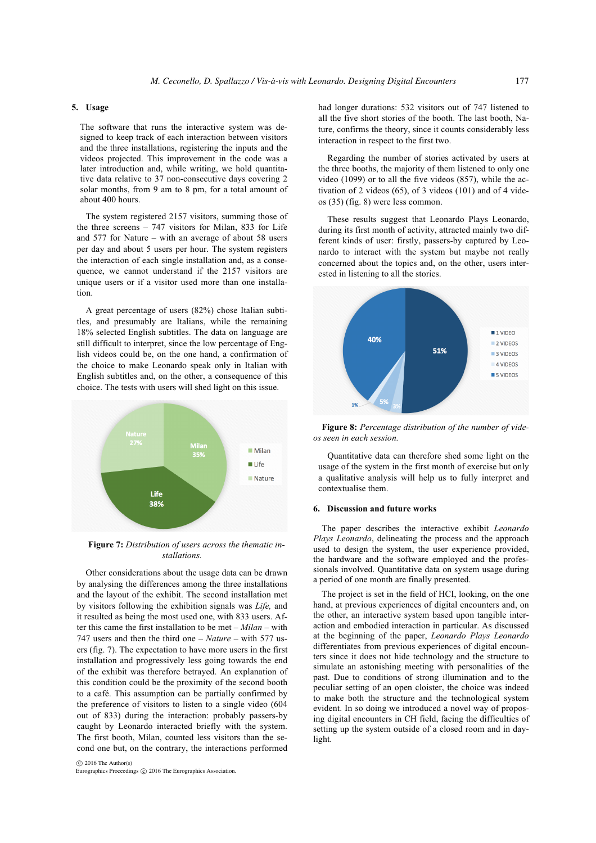# **5. Usage**

The software that runs the interactive system was designed to keep track of each interaction between visitors and the three installations, registering the inputs and the videos projected. This improvement in the code was a later introduction and, while writing, we hold quantitative data relative to 37 non-consecutive days covering 2 solar months, from 9 am to 8 pm, for a total amount of about 400 hours.

The system registered 2157 visitors, summing those of the three screens  $-747$  visitors for Milan, 833 for Life and 577 for Nature – with an average of about 58 users per day and about 5 users per hour. The system registers the interaction of each single installation and, as a consequence, we cannot understand if the 2157 visitors are unique users or if a visitor used more than one installation.

A great percentage of users (82%) chose Italian subtitles, and presumably are Italians, while the remaining 18% selected English subtitles. The data on language are still difficult to interpret, since the low percentage of English videos could be, on the one hand, a confirmation of the choice to make Leonardo speak only in Italian with English subtitles and, on the other, a consequence of this choice. The tests with users will shed light on this issue.



**Figure 7:** *Distribution of users across the thematic installations.*

Other considerations about the usage data can be drawn by analysing the differences among the three installations and the layout of the exhibit. The second installation met by visitors following the exhibition signals was *Life,* and it resulted as being the most used one, with 833 users. After this came the first installation to be met – *Milan* – with 747 users and then the third one – *Nature* – with 577 users (fig. 7). The expectation to have more users in the first installation and progressively less going towards the end of the exhibit was therefore betrayed. An explanation of this condition could be the proximity of the second booth to a café. This assumption can be partially confirmed by the preference of visitors to listen to a single video (604 out of 833) during the interaction: probably passers-by caught by Leonardo interacted briefly with the system. The first booth, Milan, counted less visitors than the second one but, on the contrary, the interactions performed

 $\odot$  2016 The Author(s) Eurographics Proceedings  $\odot$  2016 The Eurographics Association. had longer durations: 532 visitors out of 747 listened to all the five short stories of the booth. The last booth, Nature, confirms the theory, since it counts considerably less interaction in respect to the first two.

Regarding the number of stories activated by users at the three booths, the majority of them listened to only one video (1099) or to all the five videos (857), while the activation of 2 videos (65), of 3 videos (101) and of 4 videos (35) (fig. 8) were less common.

These results suggest that Leonardo Plays Leonardo, during its first month of activity, attracted mainly two different kinds of user: firstly, passers-by captured by Leonardo to interact with the system but maybe not really concerned about the topics and, on the other, users interested in listening to all the stories.



**Figure 8:** *Percentage distribution of the number of videos seen in each session.*

Quantitative data can therefore shed some light on the usage of the system in the first month of exercise but only a qualitative analysis will help us to fully interpret and contextualise them.

## **6. Discussion and future works**

The paper describes the interactive exhibit *Leonardo Plays Leonardo*, delineating the process and the approach used to design the system, the user experience provided, the hardware and the software employed and the professionals involved. Quantitative data on system usage during a period of one month are finally presented.

The project is set in the field of HCI, looking, on the one hand, at previous experiences of digital encounters and, on the other, an interactive system based upon tangible interaction and embodied interaction in particular. As discussed at the beginning of the paper, *Leonardo Plays Leonardo* differentiates from previous experiences of digital encounters since it does not hide technology and the structure to simulate an astonishing meeting with personalities of the past. Due to conditions of strong illumination and to the peculiar setting of an open cloister, the choice was indeed to make both the structure and the technological system evident. In so doing we introduced a novel way of proposing digital encounters in CH field, facing the difficulties of setting up the system outside of a closed room and in daylight.